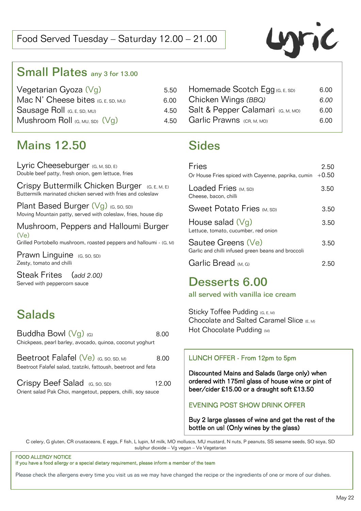

## Small Plates any 3 for 13.00

| Vegetarian Gyoza $(Vg)$              | 5.50 |
|--------------------------------------|------|
| Mac N' Cheese bites $(G, E, SD, MU)$ | 6.00 |
| Sausage Roll (G, E, SD, MU)          | 4.50 |
| Mushroom Roll $(G, MU, SD)$ (Vg)     | 4.50 |

| Homemade Scotch Egg (G, E, SD)    | 6.00 |
|-----------------------------------|------|
| Chicken Wings (BBQ)               | 6.00 |
| Salt & Pepper Calamari (G, M, MO) | 6.00 |
| Garlic Prawns (CR, M, MO)         | 6.OO |

## Mains 12.50

Lyric Cheeseburger (G, M, SD, E) Double beef patty, fresh onion, gem lettuce, fries

Crispy Buttermilk Chicken Burger (G, E, M, E) Buttermilk marinated chicken served with fries and coleslaw

Plant Based Burger  $(Vg)$  (G, SO, SD) Moving Mountain patty, served with coleslaw, fries, house dip

Mushroom, Peppers and Halloumi Burger (Ve) Grilled Portobello mushroom, roasted peppers and halloumi - (G, M)

Prawn Linguine (G, SO, SD) Zesty, tomato and chilli

Steak Frites (*add 2.00)* Served with peppercorn sauce

# **Salads**

| Buddha Bowl (Vg) (G)                                          | 8.00 |
|---------------------------------------------------------------|------|
| Chickpeas, pearl barley, avocado, quinoa, coconut yoghurt     |      |
| Beetroot Falafel $(V_e)$ (G, SO, SD, M)                       | 8.00 |
| Beetroot Falafel salad, tzatziki, fattoush, beetroot and feta |      |

| Crispy Beef Salad (G, SO, SD)                                | 12.00 |
|--------------------------------------------------------------|-------|
| Orient salad Pak Choi, mangetout, peppers, chilli, soy sauce |       |

# Sides

| Fries<br>Or House Fries spiced with Cayenne, paprika, cumin              | 2.50<br>$+0.50$ |
|--------------------------------------------------------------------------|-----------------|
| Loaded Fries (M, SD)<br>Cheese, bacon, chilli                            | 3.50            |
| <b>Sweet Potato Fries (M, SD)</b>                                        | 3.50            |
| House salad $(\forall g)$<br>Lettuce, tomato, cucumber, red onion        | 3.50            |
| Sautee Greens (Ve)<br>Garlic and chilli infused green beans and broccoli | 3.50            |
| Garlic Bread டை                                                          |                 |

## Desserts 6.00

all served with vanilla ice cream

Sticky Toffee Pudding (G, E, M) Chocolate and Salted Caramel Slice (E, M) Hot Chocolate Pudding (M)

### LUNCH OFFER - From 12pm to 5pm

Discounted Mains and Salads (large only) when ordered with 175ml glass of house wine or pint of beer/cider £15.00 or a draught soft £13.50

### EVENING POST SHOW DRINK OFFER

Buy 2 large glasses of wine and get the rest of the bottle on us! (Only wines by the glass)

C celery, G gluten, CR crustaceans, E eggs, F fish, L lupin, M milk, MO molluscs, MU mustard, N nuts, P peanuts, SS sesame seeds, SO soya, SD sulphur dioxide – Vg vegan – Ve Vegetarian

#### FOOD ALLERGY NOTICE If you have a food allergy or a special dietary requirement, please inform a member of the team

Please check the allergens every time you visit us as we may have changed the recipe or the ingredients of one or more of our dishes.